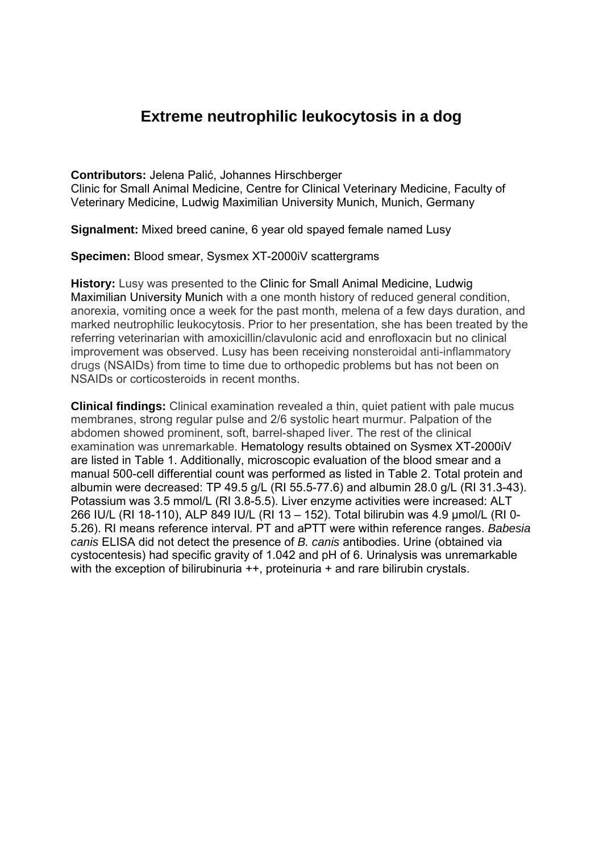# **Extreme neutrophilic leukocytosis in a dog**

**Contributors:** Jelena Palić, Johannes Hirschberger Clinic for Small Animal Medicine, Centre for Clinical Veterinary Medicine, Faculty of Veterinary Medicine, Ludwig Maximilian University Munich, Munich, Germany

**Signalment:** Mixed breed canine, 6 year old spayed female named Lusy

**Specimen:** Blood smear, Sysmex XT-2000iV scattergrams

**History:** Lusy was presented to the Clinic for Small Animal Medicine, Ludwig Maximilian University Munich with a one month history of reduced general condition, anorexia, vomiting once a week for the past month, melena of a few days duration, and marked neutrophilic leukocytosis. Prior to her presentation, she has been treated by the referring veterinarian with amoxicillin/clavulonic acid and enrofloxacin but no clinical improvement was observed. Lusy has been receiving nonsteroidal anti-inflammatory drugs (NSAIDs) from time to time due to orthopedic problems but has not been on NSAIDs or corticosteroids in recent months.

**Clinical findings:** Clinical examination revealed a thin, quiet patient with pale mucus membranes, strong regular pulse and 2/6 systolic heart murmur. Palpation of the abdomen showed prominent, soft, barrel-shaped liver. The rest of the clinical examination was unremarkable. Hematology results obtained on Sysmex XT-2000iV are listed in Table 1. Additionally, microscopic evaluation of the blood smear and a manual 500-cell differential count was performed as listed in Table 2. Total protein and albumin were decreased: TP 49.5 g/L (RI 55.5-77.6) and albumin 28.0 g/L (RI 31.3-43). Potassium was 3.5 mmol/L (RI 3.8-5.5). Liver enzyme activities were increased: ALT 266 IU/L (RI 18-110), ALP 849 IU/L (RI 13 – 152). Total bilirubin was 4.9 µmol/L (RI 0- 5.26). RI means reference interval. PT and aPTT were within reference ranges. *Babesia canis* ELISA did not detect the presence of *B. canis* antibodies. Urine (obtained via cystocentesis) had specific gravity of 1.042 and pH of 6. Urinalysis was unremarkable with the exception of bilirubinuria  $++$ , proteinuria  $+$  and rare bilirubin crystals.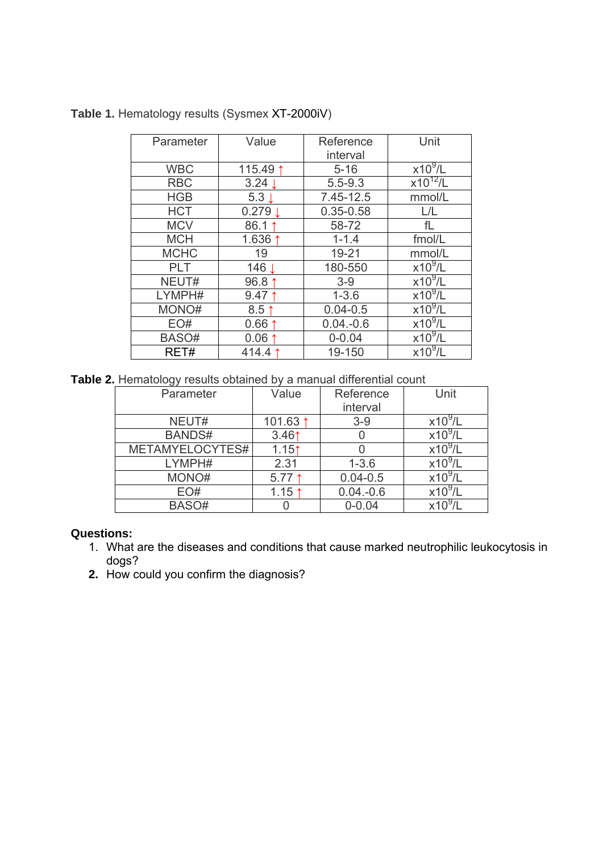| Parameter   | Value            | Reference     | Unit                 |
|-------------|------------------|---------------|----------------------|
|             |                  | interval      |                      |
| <b>WBC</b>  | 115.49 1         | $5 - 16$      | $x10^9$ /L           |
| <b>RBC</b>  | 3.24             | $5.5 - 9.3$   | $x10^{12}/L$         |
| <b>HGB</b>  | 5.3 <sub>1</sub> | 7.45-12.5     | mmol/L               |
| <b>HCT</b>  | 0.279            | $0.35 - 0.58$ | L/L                  |
| <b>MCV</b>  | 86.1 1           | 58-72         | fL                   |
| <b>MCH</b>  | 1.636 $1$        | $1 - 1.4$     | fmol/L               |
| <b>MCHC</b> | 19               | $19 - 21$     | mmol/L               |
| <b>PLT</b>  | 146 L            | 180-550       | $x\overline{10^9/L}$ |
| NEUT#       | 96.8 ↑           | $3-9$         | $x10^9/L$            |
| LYMPH#      | $9.47 \uparrow$  | $1 - 3.6$     | $x10^9/L$            |
| MONO#       | $8.5$ ↑          | $0.04 - 0.5$  | $x10^9/L$            |
| EO#         | $0.66 \uparrow$  | $0.04 - 0.6$  | $x10^9/L$            |
| BASO#       | $0.06$ 1         | $0 - 0.04$    | $x10^9$ /L           |
| RET#        | 414.4            | 19-150        | $x10^9/L$            |

## **Table 1.** Hematology results (Sysmex XT-2000iV)

**Table 2.** Hematology results obtained by a manual differential count

| Parameter       | Value             | Reference<br>interval | Unit         |
|-----------------|-------------------|-----------------------|--------------|
| NEUT#           | 101.63 1          | $3-9$                 | $x10^9$ /L   |
| <b>BANDS#</b>   | 3.46 <sub>1</sub> |                       | $x10^9$ /L   |
| METAMYELOCYTES# | 1.15 <sup>†</sup> |                       | $x10^9$ /L   |
| LYMPH#          |                   |                       | $x10^9$ /L   |
|                 | 2.31              | $1 - 3.6$             |              |
| MONO#           | $5.77$ 1          | $0.04 - 0.5$          | $x10^9$ /L   |
| EO#             | $1.15 \uparrow$   | $0.04.-0.6$           | $x10^9$ /L   |
| BASO#           |                   | $0 - 0.04$            | $x10^{9}$ /l |

## **Questions:**

- 1. What are the diseases and conditions that cause marked neutrophilic leukocytosis in dogs?
- **2.** How could you confirm the diagnosis?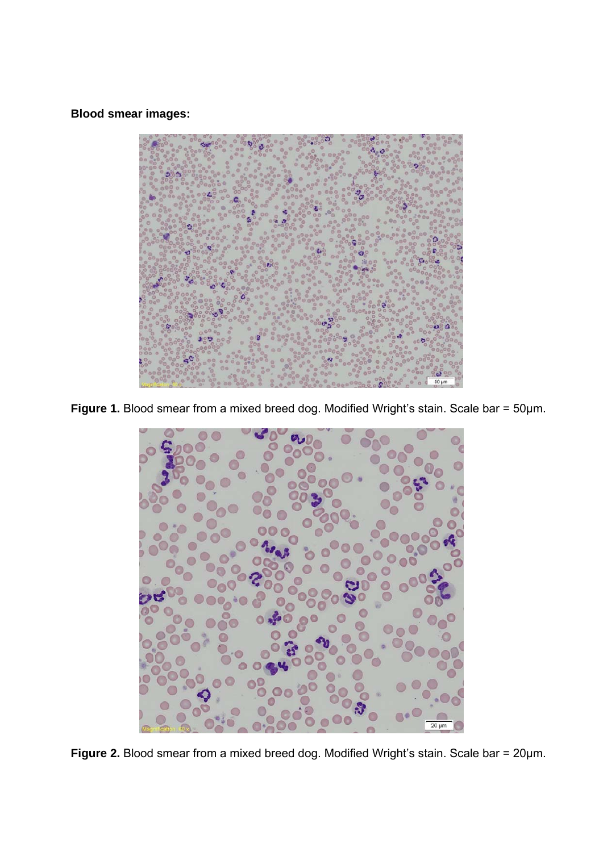**Blood smear images:** 



Figure 1. Blood smear from a mixed breed dog. Modified Wright's stain. Scale bar = 50µm.



**Figure 2.** Blood smear from a mixed breed dog. Modified Wright's stain. Scale bar = 20µm.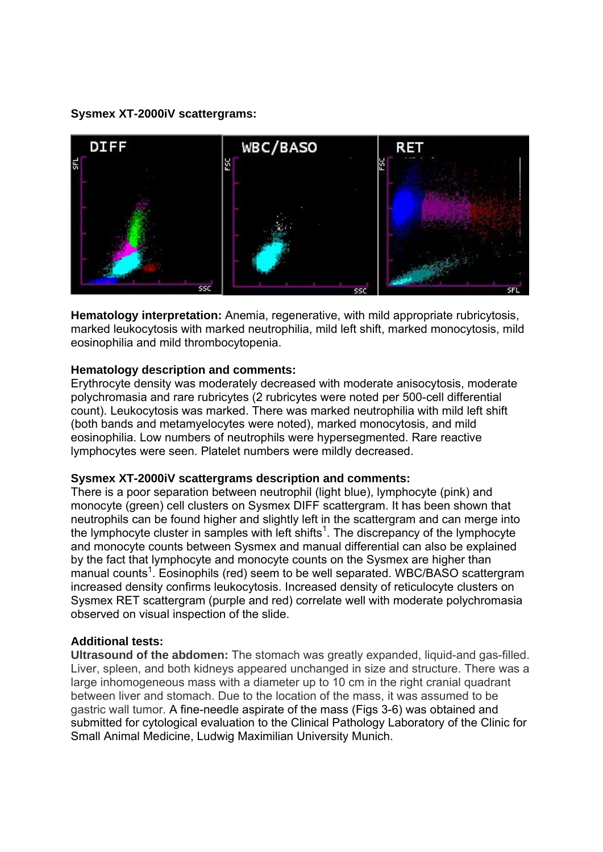**Sysmex XT-2000iV scattergrams:** 



**Hematology interpretation:** Anemia, regenerative, with mild appropriate rubricytosis, marked leukocytosis with marked neutrophilia, mild left shift, marked monocytosis, mild eosinophilia and mild thrombocytopenia.

## **Hematology description and comments:**

Erythrocyte density was moderately decreased with moderate anisocytosis, moderate polychromasia and rare rubricytes (2 rubricytes were noted per 500-cell differential count). Leukocytosis was marked. There was marked neutrophilia with mild left shift (both bands and metamyelocytes were noted), marked monocytosis, and mild eosinophilia. Low numbers of neutrophils were hypersegmented. Rare reactive lymphocytes were seen. Platelet numbers were mildly decreased.

#### **Sysmex XT-2000iV scattergrams description and comments:**

There is a poor separation between neutrophil (light blue), lymphocyte (pink) and monocyte (green) cell clusters on Sysmex DIFF scattergram. It has been shown that neutrophils can be found higher and slightly left in the scattergram and can merge into the lymphocyte cluster in samples with left shifts<sup>1</sup>. The discrepancy of the lymphocyte and monocyte counts between Sysmex and manual differential can also be explained by the fact that lymphocyte and monocyte counts on the Sysmex are higher than manual counts<sup>1</sup>. Eosinophils (red) seem to be well separated. WBC/BASO scattergram increased density confirms leukocytosis. Increased density of reticulocyte clusters on Sysmex RET scattergram (purple and red) correlate well with moderate polychromasia observed on visual inspection of the slide.

## **Additional tests:**

**Ultrasound of the abdomen:** The stomach was greatly expanded, liquid-and gas-filled. Liver, spleen, and both kidneys appeared unchanged in size and structure. There was a large inhomogeneous mass with a diameter up to 10 cm in the right cranial quadrant between liver and stomach. Due to the location of the mass, it was assumed to be gastric wall tumor. A fine-needle aspirate of the mass (Figs 3-6) was obtained and submitted for cytological evaluation to the Clinical Pathology Laboratory of the Clinic for Small Animal Medicine, Ludwig Maximilian University Munich.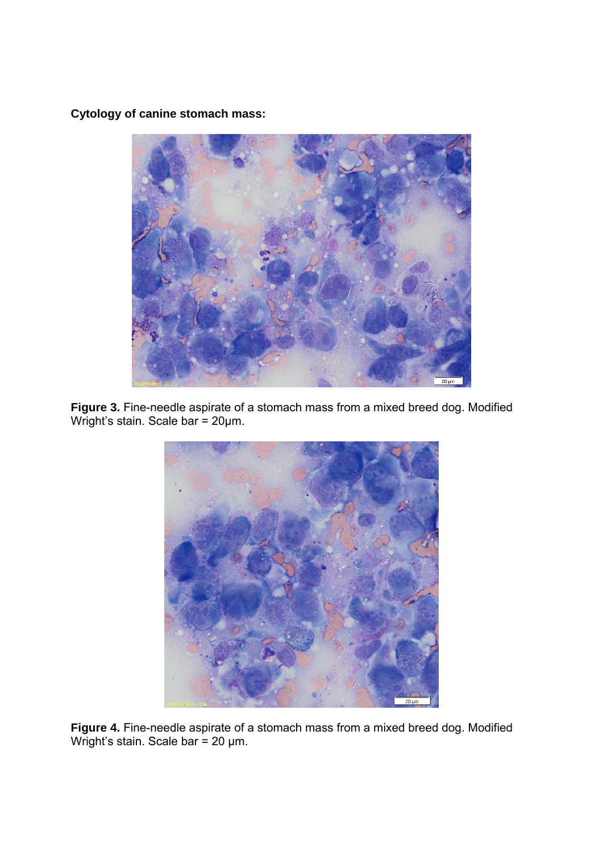**Cytology of canine stomach mass:** 



**Figure 3.** Fine-needle aspirate of a stomach mass from a mixed breed dog. Modified Wright's stain. Scale bar = 20µm.



Figure 4. Fine-needle aspirate of a stomach mass from a mixed breed dog. Modified Wright's stain. Scale bar = 20 µm.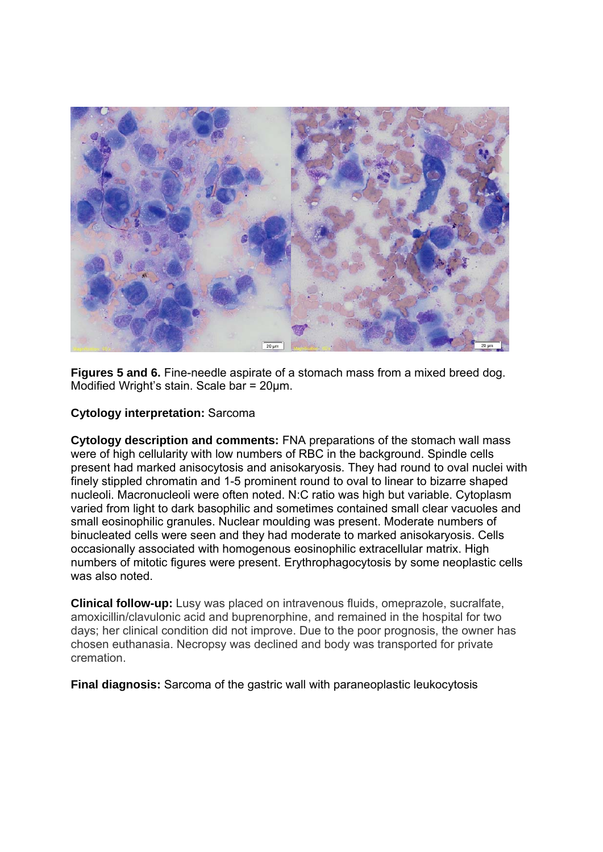

**Figures 5 and 6.** Fine-needle aspirate of a stomach mass from a mixed breed dog. Modified Wright's stain. Scale bar = 20µm.

## **Cytology interpretation:** Sarcoma

**Cytology description and comments:** FNA preparations of the stomach wall mass were of high cellularity with low numbers of RBC in the background. Spindle cells present had marked anisocytosis and anisokaryosis. They had round to oval nuclei with finely stippled chromatin and 1-5 prominent round to oval to linear to bizarre shaped nucleoli. Macronucleoli were often noted. N:C ratio was high but variable. Cytoplasm varied from light to dark basophilic and sometimes contained small clear vacuoles and small eosinophilic granules. Nuclear moulding was present. Moderate numbers of binucleated cells were seen and they had moderate to marked anisokaryosis. Cells occasionally associated with homogenous eosinophilic extracellular matrix. High numbers of mitotic figures were present. Erythrophagocytosis by some neoplastic cells was also noted.

**Clinical follow-up:** Lusy was placed on intravenous fluids, omeprazole, sucralfate, amoxicillin/clavulonic acid and buprenorphine, and remained in the hospital for two days; her clinical condition did not improve. Due to the poor prognosis, the owner has chosen euthanasia. Necropsy was declined and body was transported for private cremation.

**Final diagnosis:** Sarcoma of the gastric wall with paraneoplastic leukocytosis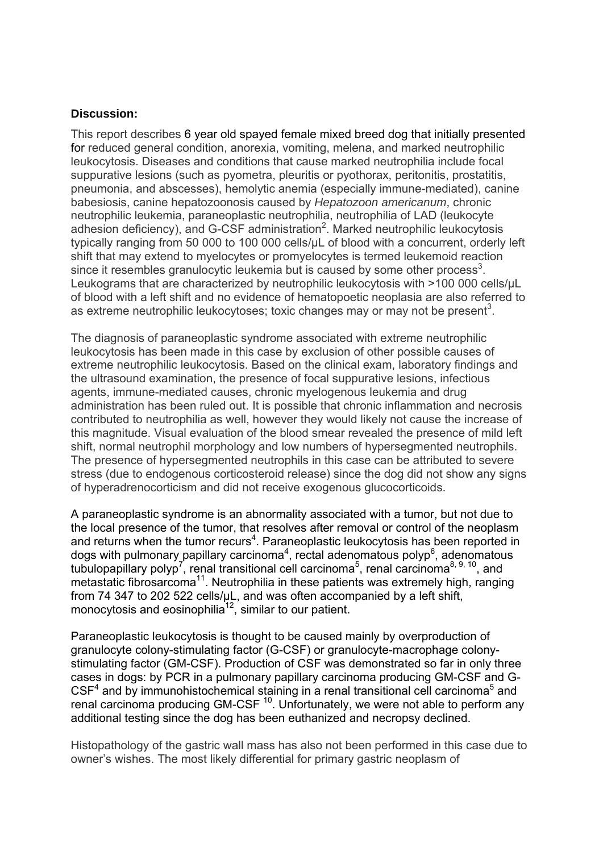#### **Discussion:**

This report describes 6 year old spayed female mixed breed dog that initially presented for reduced general condition, anorexia, vomiting, melena, and marked neutrophilic leukocytosis. Diseases and conditions that cause marked neutrophilia include focal suppurative lesions (such as pyometra, pleuritis or pyothorax, peritonitis, prostatitis, pneumonia, and abscesses), hemolytic anemia (especially immune-mediated), canine babesiosis, canine hepatozoonosis caused by *Hepatozoon americanum*, chronic neutrophilic leukemia, paraneoplastic neutrophilia, neutrophilia of LAD (leukocyte adhesion deficiency), and G-CSF administration<sup>2</sup>. Marked neutrophilic leukocytosis typically ranging from 50 000 to 100 000 cells/µL of blood with a concurrent, orderly left shift that may extend to myelocytes or promyelocytes is termed leukemoid reaction since it resembles granulocytic leukemia but is caused by some other process<sup>3</sup>. Leukograms that are characterized by neutrophilic leukocytosis with >100 000 cells/µL of blood with a left shift and no evidence of hematopoetic neoplasia are also referred to as extreme neutrophilic leukocytoses; toxic changes may or may not be present<sup>3</sup>.

The diagnosis of paraneoplastic syndrome associated with extreme neutrophilic leukocytosis has been made in this case by exclusion of other possible causes of extreme neutrophilic leukocytosis. Based on the clinical exam, laboratory findings and the ultrasound examination, the presence of focal suppurative lesions, infectious agents, immune-mediated causes, chronic myelogenous leukemia and drug administration has been ruled out. It is possible that chronic inflammation and necrosis contributed to neutrophilia as well, however they would likely not cause the increase of this magnitude. Visual evaluation of the blood smear revealed the presence of mild left shift, normal neutrophil morphology and low numbers of hypersegmented neutrophils. The presence of hypersegmented neutrophils in this case can be attributed to severe stress (due to endogenous corticosteroid release) since the dog did not show any signs of hyperadrenocorticism and did not receive exogenous glucocorticoids.

A paraneoplastic syndrome is an abnormality associated with a tumor, but not due to the local presence of the tumor, that resolves after removal or control of the neoplasm and returns when the tumor recurs<sup>4</sup>. Paraneoplastic leukocytosis has been reported in dogs with pulmonary papillary carcinoma<sup>4</sup>, rectal adenomatous polyp<sup>6</sup>, adenomatous tubulopapillary polyp<sup>7</sup>, renal transitional cell carcinoma<sup>5</sup>, renal carcinoma<sup>8, 9, 10</sup>, and metastatic fibrosarcoma<sup>11</sup>. Neutrophilia in these patients was extremely high, ranging from 74 347 to 202 522 cells/µL, and was often accompanied by a left shift, monocytosis and eosinophilia<sup>12</sup>, similar to our patient.

Paraneoplastic leukocytosis is thought to be caused mainly by overproduction of granulocyte colony-stimulating factor (G-CSF) or granulocyte-macrophage colonystimulating factor (GM-CSF). Production of CSF was demonstrated so far in only three cases in dogs: by PCR in a pulmonary papillary carcinoma producing GM-CSF and G- $CSF<sup>4</sup>$  and by immunohistochemical staining in a renal transitional cell carcinoma<sup>5</sup> and renal carcinoma producing GM-CSF  $10$ . Unfortunately, we were not able to perform any additional testing since the dog has been euthanized and necropsy declined.

Histopathology of the gastric wall mass has also not been performed in this case due to owner's wishes. The most likely differential for primary gastric neoplasm of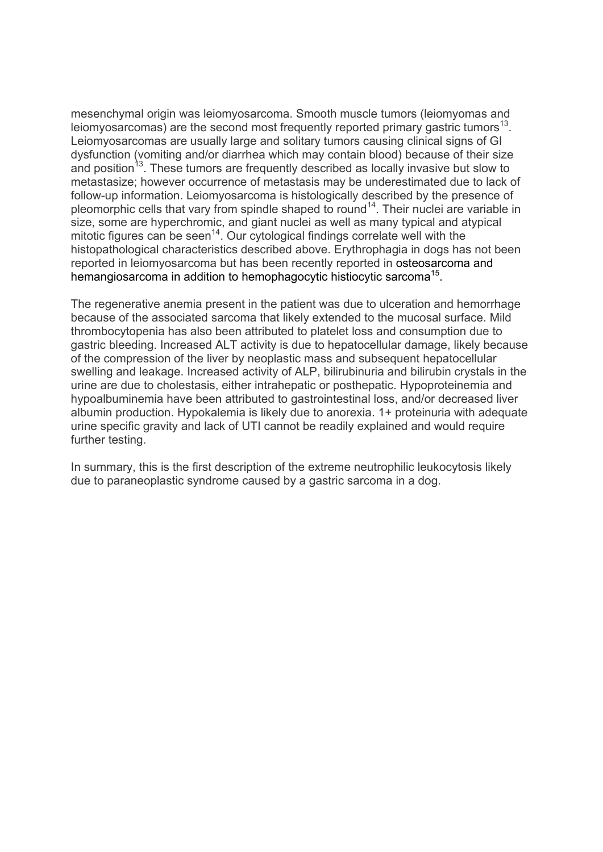mesenchymal origin was leiomyosarcoma. Smooth muscle tumors (leiomyomas and leiomyosarcomas) are the second most frequently reported primary gastric tumors<sup>13</sup>. Leiomyosarcomas are usually large and solitary tumors causing clinical signs of GI dysfunction (vomiting and/or diarrhea which may contain blood) because of their size and position<sup>13</sup>. These tumors are frequently described as locally invasive but slow to metastasize; however occurrence of metastasis may be underestimated due to lack of follow-up information. Leiomyosarcoma is histologically described by the presence of pleomorphic cells that vary from spindle shaped to round<sup>14</sup>. Their nuclei are variable in size, some are hyperchromic, and giant nuclei as well as many typical and atypical mitotic figures can be seen<sup>14</sup>. Our cytological findings correlate well with the histopathological characteristics described above. Erythrophagia in dogs has not been reported in leiomyosarcoma but has been recently reported in osteosarcoma and hemangiosarcoma in addition to hemophagocytic histiocytic sarcoma<sup>15</sup>.

The regenerative anemia present in the patient was due to ulceration and hemorrhage because of the associated sarcoma that likely extended to the mucosal surface. Mild thrombocytopenia has also been attributed to platelet loss and consumption due to gastric bleeding. Increased ALT activity is due to hepatocellular damage, likely because of the compression of the liver by neoplastic mass and subsequent hepatocellular swelling and leakage. Increased activity of ALP, bilirubinuria and bilirubin crystals in the urine are due to cholestasis, either intrahepatic or posthepatic. Hypoproteinemia and hypoalbuminemia have been attributed to gastrointestinal loss, and/or decreased liver albumin production. Hypokalemia is likely due to anorexia. 1+ proteinuria with adequate urine specific gravity and lack of UTI cannot be readily explained and would require further testing.

In summary, this is the first description of the extreme neutrophilic leukocytosis likely due to paraneoplastic syndrome caused by a gastric sarcoma in a dog.